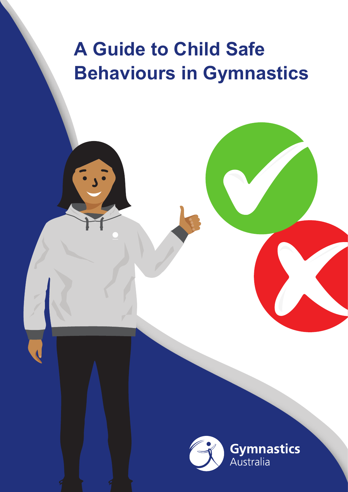### **A Guide to Child Safe Behaviours in Gymnastics**

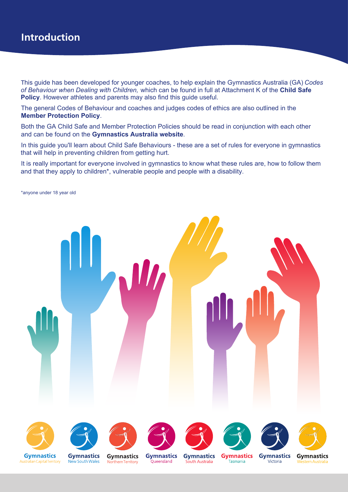#### **Introduction**

This guide has been developed for younger coaches, to help explain the Gymnastics Australia (GA) *Codes of Behaviour when Dealing with Children,* which can be found in full at Attachment K of the **Child Safe Policy**. However athletes and parents may also find this guide useful.

The general Codes of Behaviour and coaches and judges codes of ethics are also outlined in the **Member Protection Policy**.

Both the GA Child Safe and Member Protection Policies should be read in conjunction with each other and can be found on the **Gymnastics Australia website**.

In this guide you'll learn about Child Safe Behaviours - these are a set of rules for everyone in gymnastics that will help in preventing children from getting hurt.

It is really important for everyone involved in gymnastics to know what these rules are, how to follow them and that they apply to children\*, vulnerable people and people with a disability.

\*anyone under 18 year old



**Gymnastics Gymnastics** New South Wales an Capital Territory

**Gymnastics** Northern Territory

**Gymnastics** Oueensland

**Gymnastics South Australia** 

**Gymnastics** Tasmania

**Gymnastics** Victoria

**Gymnastics** Austral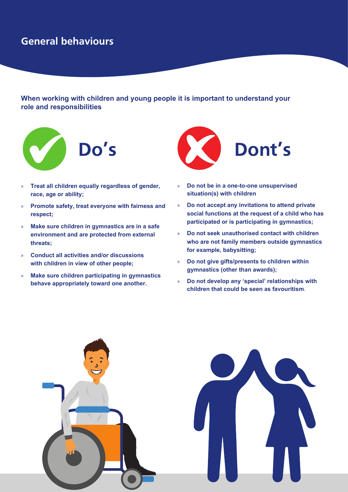### **General behaviours**

**When working with children and young people it is important to understand your role and responsibilities**



- » **Treat all children equally regardless of gender, race, age or ability;**
- » **Promote safety, treat everyone with fairness and respect;**
- » **Make sure children in gymnastics are in a safe environment and are protected from external threats;**
- » **Conduct all activities and/or discussions with children in view of other people;**
- » **Make sure children participating in gymnastics behave appropriately toward one another.**



- » **Do not be in a one-to-one unsupervised situation(s) with children**
- » **Do not accept any invitations to attend private social functions at the request of a child who has participated or is participating in gymnastics;**
- » **Do not seek unauthorised contact with children who are not family members outside gymnastics for example, babysitting;**
- » **Do not give gifts/presents to children within gymnastics (other than awards);**
- » **Do not develop any 'special' relationships with children that could be seen as favouritism**.

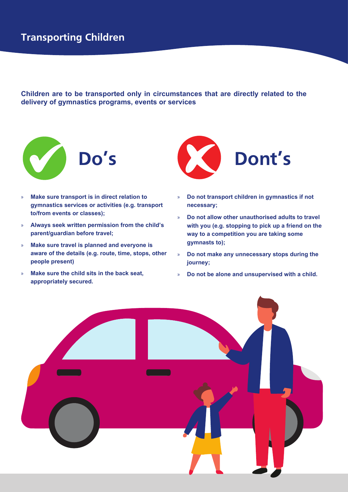**Children are to be transported only in circumstances that are directly related to the delivery of gymnastics programs, events or services**



- » **Make sure transport is in direct relation to gymnastics services or activities (e.g. transport to/from events or classes);**
- » **Always seek written permission from the child's parent/guardian before travel;**
- » **Make sure travel is planned and everyone is aware of the details (e.g. route, time, stops, other people present)**
- » **Make sure the child sits in the back seat, appropriately secured.**



- » **Do not transport children in gymnastics if not necessary;**
- » **Do not allow other unauthorised adults to travel with you (e.g. stopping to pick up a friend on the way to a competition you are taking some gymnasts to);**
- » **Do not make any unnecessary stops during the journey;**
- » **Do not be alone and unsupervised with a child.**

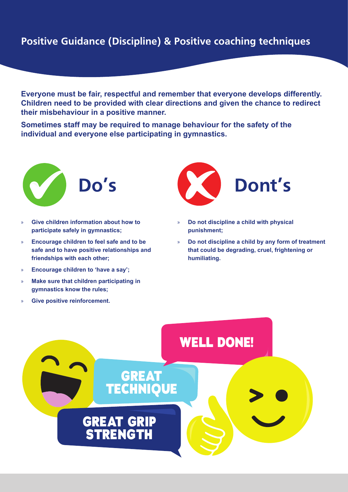### **Positive Guidance (Discipline) & Positive coaching techniques**

**Everyone must be fair, respectful and remember that everyone develops differently. Children need to be provided with clear directions and given the chance to redirect their misbehaviour in a positive manner.** 

**Sometimes staff may be required to manage behaviour for the safety of the individual and everyone else participating in gymnastics.**



- » **Give children information about how to participate safely in gymnastics;**
- » **Encourage children to feel safe and to be safe and to have positive relationships and friendships with each other;**
- » **Encourage children to 'have a say';**
- » **Make sure that children participating in gymnastics know the rules;**
- » **Give positive reinforcement.**



- » **Do not discipline a child with physical punishment;**
- » **Do not discipline a child by any form of treatment that could be degrading, cruel, frightening or humiliating.**

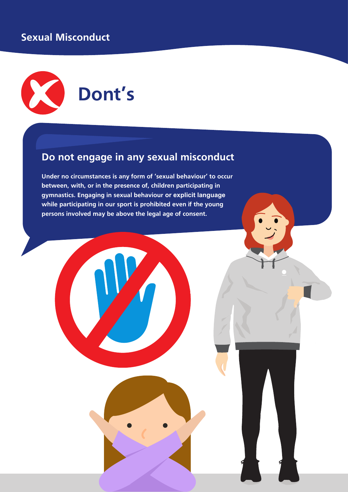### **Sexual Misconduct**



### **Do not engage in any sexual misconduct**

**Under no circumstances is any form of 'sexual behaviour' to occur between, with, or in the presence of, children participating in gymnastics. Engaging in sexual behaviour or explicit language while participating in our sport is prohibited even if the young persons involved may be above the legal age of consent.**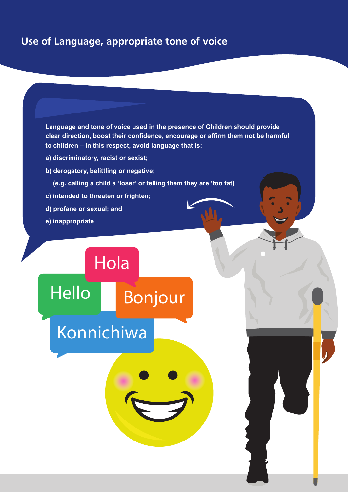### **Use of Language, appropriate tone of voice**

**Language and tone of voice used in the presence of Children should provide clear direction, boost their confidence, encourage or affirm them not be harmful to children – in this respect, avoid language that is:** 

- **a) discriminatory, racist or sexist;**
- **b) derogatory, belittling or negative;**

**(e.g. calling a child a 'loser' or telling them they are 'too fat)**

- **c) intended to threaten or frighten;**
- **d) profane or sexual; and**
- **e) inappropriate**

## Hola

Hello Bonjour

### Konnichiwa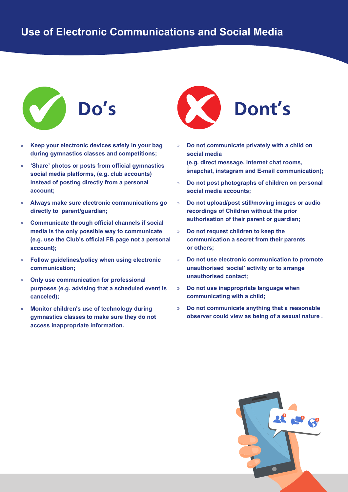

- » **Keep your electronic devices safely in your bag during gymnastics classes and competitions;**
- » **'Share' photos or posts from official gymnastics social media platforms, (e.g. club accounts) instead of posting directly from a personal account;**
- » **Always make sure electronic communications go directly to parent/guardian;**
- » **Communicate through official channels if social media is the only possible way to communicate (e.g. use the Club's official FB page not a personal account);**
- » **Follow guidelines/policy when using electronic communication;**
- » **Only use communication for professional purposes (e.g. advising that a scheduled event is canceled);**
- » **Monitor children's use of technology during gymnastics classes to make sure they do not access inappropriate information.**



- » **Do not communicate privately with a child on social media (e.g. direct message, internet chat rooms, snapchat, instagram and E-mail communication);**
- » **Do not post photographs of children on personal social media accounts;**
- » **Do not upload/post still/moving images or audio recordings of Children without the prior authorisation of their parent or guardian;**
- » **Do not request children to keep the communication a secret from their parents or others;**
- » **Do not use electronic communication to promote unauthorised 'social' activity or to arrange unauthorised contact;**
- » **Do not use inappropriate language when communicating with a child;**
- » **Do not communicate anything that a reasonable observer could view as being of a sexual nature .**

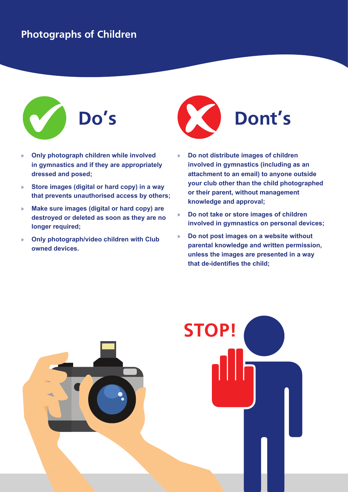### **Photographs of Children**



- » **Only photograph children while involved in gymnastics and if they are appropriately dressed and posed;**
- » **Store images (digital or hard copy) in a way that prevents unauthorised access by others;**
- » **Make sure images (digital or hard copy) are destroyed or deleted as soon as they are no longer required;**
- » **Only photograph/video children with Club owned devices.**



- » **Do not distribute images of children involved in gymnastics (including as an attachment to an email) to anyone outside your club other than the child photographed or their parent, without management knowledge and approval;**
- » **Do not take or store images of children involved in gymnastics on personal devices;**
- » **Do not post images on a website without parental knowledge and written permission, unless the images are presented in a way that de-identifies the child;**

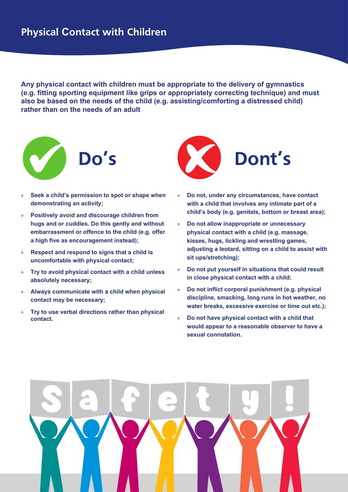**Any physical contact with children must be appropriate to the delivery of gymnastics (e.g. fitting sporting equipment like grips or appropriately correcting technique) and must also be based on the needs of the child (e.g. assisting/comforting a distressed child) rather than on the needs of an adult** 



- » **Seek a child's permission to spot or shape when demonstrating an activity;**
- » **Positively avoid and discourage children from hugs and or cuddles. Do this gently and without embarrassment or offence to the child (e.g. offer a high five as encouragement instead);**
- » **Respect and respond to signs that a child is uncomfortable with physical contact;**
- » **Try to avoid physical contact with a child unless absolutely necessary;**
- » **Always communicate with a child when physical contact may be necessary;**
- » **Try to use verbal directions rather than physical contact.**



- » **Do not, under any circumstances, have contact with a child that involves any intimate part of a child's body (e.g. genitals, bottom or breast area);**
- » **Do not allow inappropriate or unnecessary physical contact with a child (e.g. massage, kisses, hugs, tickling and wrestling games, adjusting a leotard, sitting on a child to assist with sit ups/stretching);**
- » **Do not put yourself in situations that could result in close physical contact with a child;**
- » **Do not inflict corporal punishment (e.g. physical discipline, smacking, long runs in hot weather, no water breaks, excessive exercise or time out etc.);**
- » **Do not have physical contact with a child that would appear to a reasonable observer to have a sexual connotation.**

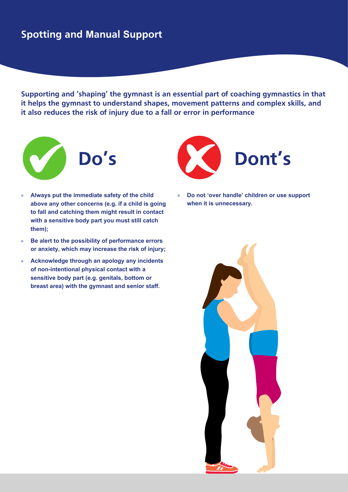### **Spotting and Manual Support**

**Supporting and 'shaping' the gymnast is an essential part of coaching gymnastics in that it helps the gymnast to understand shapes, movement patterns and complex skills, and it also reduces the risk of injury due to a fall or error in performance**



- » **Always put the immediate safety of the child above any other concerns (e.g. if a child is going to fall and catching them might result in contact with a sensitive body part you must still catch them);**
- » **Be alert to the possibility of performance errors or anxiety, which may increase the risk of injury;**
- » **Acknowledge through an apology any incidents of non-intentional physical contact with a sensitive body part (e.g. genitals, bottom or breast area) with the gymnast and senior staff.**



» **Do not 'over handle' children or use support when it is unnecessary.**

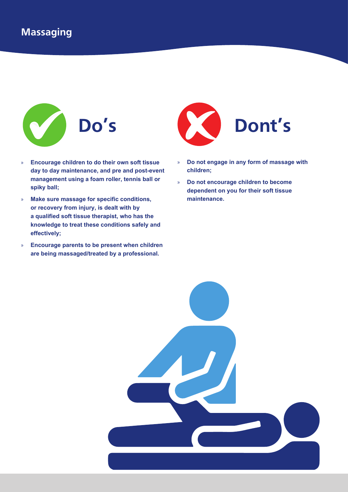

- » **Encourage children to do their own soft tissue day to day maintenance, and pre and post-event management using a foam roller, tennis ball or spiky ball;**
- » **Make sure massage for specific conditions, or recovery from injury, is dealt with by a qualified soft tissue therapist, who has the knowledge to treat these conditions safely and effectively;**
- » **Encourage parents to be present when children are being massaged/treated by a professional.**



- » **Do not engage in any form of massage with children;**
- » **Do not encourage children to become dependent on you for their soft tissue maintenance.**

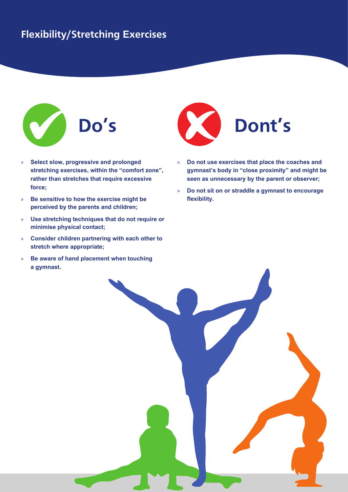### **Flexibility/Stretching Exercises**



- » **Select slow, progressive and prolonged stretching exercises, within the "comfort zone", rather than stretches that require excessive force;**
- » **Be sensitive to how the exercise might be perceived by the parents and children;**
- » **Use stretching techniques that do not require or minimise physical contact;**
- » **Consider children partnering with each other to stretch where appropriate;**
- » **Be aware of hand placement when touching a gymnast.**



- » **Do not use exercises that place the coaches and gymnast's body in "close proximity" and might be seen as unnecessary by the parent or observer;**
- » **Do not sit on or straddle a gymnast to encourage flexibility.**

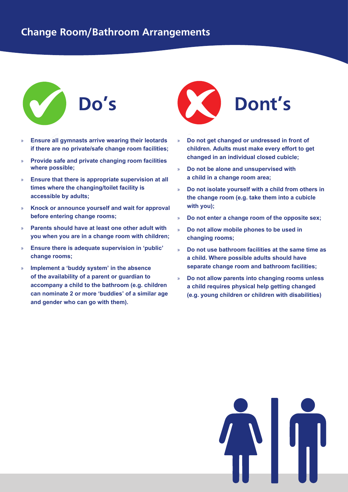

- » **Ensure all gymnasts arrive wearing their leotards if there are no private/safe change room facilities;**
- » **Provide safe and private changing room facilities where possible;**
- » **Ensure that there is appropriate supervision at all times where the changing/toilet facility is accessible by adults;**
- » **Knock or announce yourself and wait for approval before entering change rooms;**
- » **Parents should have at least one other adult with you when you are in a change room with children;**
- » **Ensure there is adequate supervision in 'public' change rooms;**
- » **Implement a 'buddy system' in the absence of the availability of a parent or guardian to accompany a child to the bathroom (e.g. children can nominate 2 or more 'buddies' of a similar age and gender who can go with them).**



- » **Do not get changed or undressed in front of children. Adults must make every effort to get changed in an individual closed cubicle;**
- » **Do not be alone and unsupervised with a child in a change room area;**
- » **Do not isolate yourself with a child from others in the change room (e.g. take them into a cubicle with you);**
- » **Do not enter a change room of the opposite sex;**
- » **Do not allow mobile phones to be used in changing rooms;**
- » **Do not use bathroom facilities at the same time as a child. Where possible adults should have separate change room and bathroom facilities;**
- » **Do not allow parents into changing rooms unless a child requires physical help getting changed (e.g. young children or children with disabilities)**

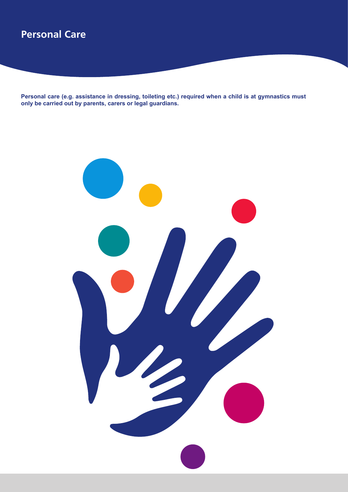### **Personal Care**

**Personal care (e.g. assistance in dressing, toileting etc.) required when a child is at gymnastics must only be carried out by parents, carers or legal guardians.** 

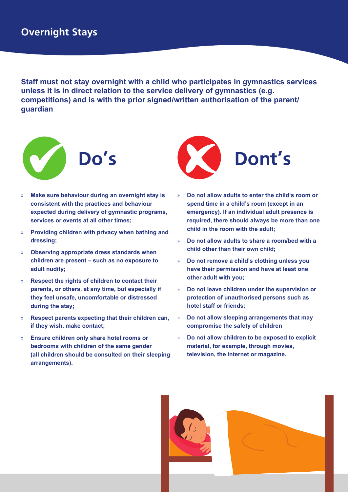**Staff must not stay overnight with a child who participates in gymnastics services unless it is in direct relation to the service delivery of gymnastics (e.g. competitions) and is with the prior signed/written authorisation of the parent/ guardian**



- » **Make sure behaviour during an overnight stay is consistent with the practices and behaviour expected during delivery of gymnastic programs, services or events at all other times;**
- » **Providing children with privacy when bathing and dressing;**
- » **Observing appropriate dress standards when children are present – such as no exposure to adult nudity;**
- » **Respect the rights of children to contact their parents, or others, at any time, but especially if they feel unsafe, uncomfortable or distressed during the stay;**
- » **Respect parents expecting that their children can, if they wish, make contact;**
- » **Ensure children only share hotel rooms or bedrooms with children of the same gender (all children should be consulted on their sleeping arrangements).**



- » **Do not allow adults to enter the child's room or spend time in a child's room (except in an emergency). If an individual adult presence is required, there should always be more than one child in the room with the adult;**
- » **Do not allow adults to share a room/bed with a child other than their own child;**
- » **Do not remove a child's clothing unless you have their permission and have at least one other adult with you;**
- » **Do not leave children under the supervision or protection of unauthorised persons such as hotel staff or friends;**
- » **Do not allow sleeping arrangements that may compromise the safety of children**
- » **Do not allow children to be exposed to explicit material, for example, through movies, television, the internet or magazine.**